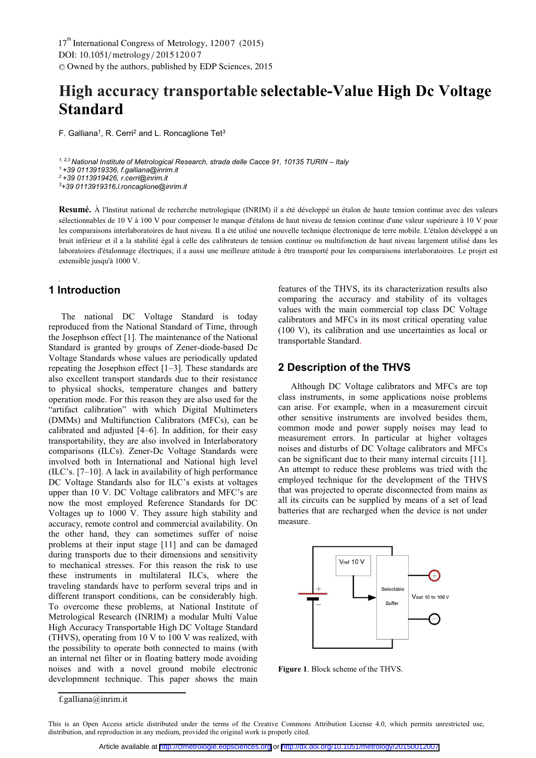# **High accuracy transportable selectable-Value High Dc Voltage Standard**

F. Galliana<sup>1</sup>, R. Cerri<sup>2</sup> and L. Roncaglione Tet<sup>3</sup>

<sup>1, 2,3</sup> National Institute of Metrological Research, strada delle Cacce 91, 10135 TURIN – Italy *1* +39 0113919336, f.galliana@inrim.it *2 +39 0113919426, r.cerri@inrim.it 3 +39 0113919316,l.roncaglione@inrim.it* 

**Resumé.** À l'Institut national de recherche metrologique (INRIM) il a été développé un étalon de haute tension continue avec des valeurs sélectionnables de 10 V à 100 V pour compenser le manque d'étalons de haut niveau de tension continue d'une valeur supérieure à 10 V pour les comparaisons interlaboratoires de haut niveau. Il a été utilisé une nouvelle technique électronique de terre mobile. L'étalon développé a un bruit inférieur et il a la stabilité égal à celle des calibrateurs de tension continue ou multifonction de haut niveau largement utilisé dans les laboratoires d'étalonnage électriques; il a aussi une meilleure attitude à être transporté pour les comparaisons interlaboratoires. Le projet est extensible jusqu'à 1000 V.

# **1 Introduction**

.

The national DC Voltage Standard is today reproduced from the National Standard of Time, through the Josephson effect [1]. The maintenance of the National Standard is granted by groups of Zener-diode-based Dc Voltage Standards whose values are periodically updated repeating the Josephson effect [1–3]. These standards are also excellent transport standards due to their resistance to physical shocks, temperature changes and battery operation mode. For this reason they are also used for the "artifact calibration" with which Digital Multimeters (DMMs) and Multifunction Calibrators (MFCs), can be calibrated and adjusted [4–6]. In addition, for their easy transportability, they are also involved in Interlaboratory comparisons (ILCs). Zener-Dc Voltage Standards were involved both in International and National high level (ILC's. [7–10]. A lack in availability of high performance DC Voltage Standards also for ILC's exists at voltages upper than 10 V. DC Voltage calibrators and MFC's are now the most employed Reference Standards for DC Voltages up to 1000 V. They assure high stability and accuracy, remote control and commercial availability. On the other hand, they can sometimes suffer of noise problems at their input stage [11] and can be damaged during transports due to their dimensions and sensitivity to mechanical stresses. For this reason the risk to use these instruments in multilateral ILCs, where the traveling standards have to perform several trips and in different transport conditions, can be considerably high. To overcome these problems, at National Institute of Metrological Research (INRIM) a modular Multi Value High Accuracy Transportable High DC Voltage Standard (THVS), operating from 10 V to 100 V was realized, with the possibility to operate both connected to mains (with an internal net filter or in floating battery mode avoiding noises and with a novel ground mobile electronic developmnent technique. This paper shows the main

features of the THVS, its its characterization results also comparing the accuracy and stability of its voltages values with the main commercial top class DC Voltage calibrators and MFCs in its most critical operating value (100 V), its calibration and use uncertainties as local or transportable Standard.

## **2 Description of the THVS**

Although DC Voltage calibrators and MFCs are top class instruments, in some applications noise problems can arise. For example, when in a measurement circuit other sensitive instruments are involved besides them, common mode and power supply noises may lead to measurement errors. In particular at higher voltages noises and disturbs of DC Voltage calibrators and MFCs can be significant due to their many internal circuits [11]. An attempt to reduce these problems was tried with the employed technique for the development of the THVS that was projected to operate disconnected from mains as all its circuits can be supplied by means of a set of lead batteries that are recharged when the device is not under measure.



**Figure 1**. Block scheme of the THVS.

f.galliana@inrim.it

This is an Open Access article distributed under the terms of the Creative Commons Attribution License 4.0, which permits unrestricted use, distribution, and reproduction in any medium, provided the original work is properly cited.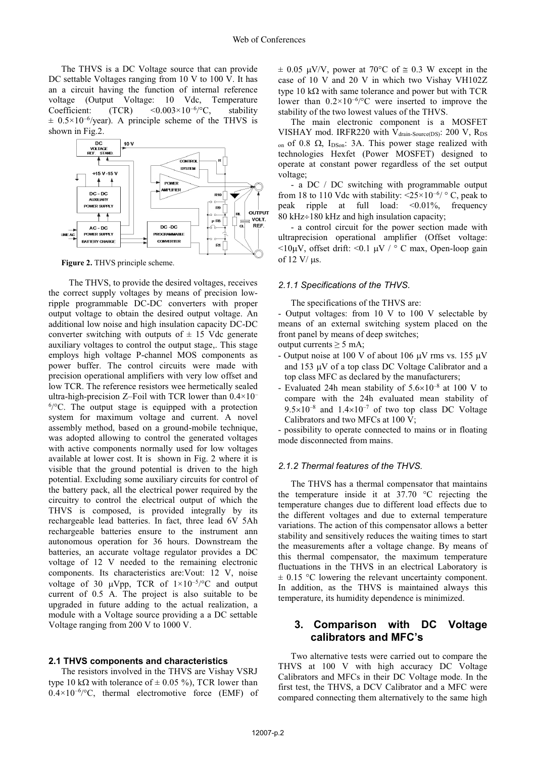The THVS is a DC Voltage source that can provide DC settable Voltages ranging from 10 V to 100 V. It has an a circuit having the function of internal reference voltage (Output Voltage: 10 Vdc, Temperature Coefficient:  $(TCR)$  <0.003×10<sup>-6</sup>/°C, stability  $\pm$  0.5×10<sup>-6</sup>/year). A principle scheme of the THVS is shown in Fig.2.



**Figure 2.** THVS principle scheme.

 The THVS, to provide the desired voltages, receives the correct supply voltages by means of precision lowripple programmable DC-DC converters with proper output voltage to obtain the desired output voltage. An additional low noise and high insulation capacity DC-DC converter switching with outputs of  $\pm$  15 Vdc generate auxiliary voltages to control the output stage,. This stage employs high voltage P-channel MOS components as power buffer. The control circuits were made with precision operational amplifiers with very low offset and low TCR. The reference resistors wee hermetically sealed ultra-high-precision Z–Foil with TCR lower than  $0.4 \times 10^{-7}$ 6 /°C. The output stage is equipped with a protection system for maximum voltage and current. A novel assembly method, based on a ground-mobile technique, was adopted allowing to control the generated voltages with active components normally used for low voltages available at lower cost. It is shown in Fig. 2 where it is visible that the ground potential is driven to the high potential. Excluding some auxiliary circuits for control of the battery pack, all the electrical power required by the circuitry to control the electrical output of which the THVS is composed, is provided integrally by its rechargeable lead batteries. In fact, three lead 6V 5Ah rechargeable batteries ensure to the instrument ann autonomous operation for 36 hours. Downstream the batteries, an accurate voltage regulator provides a DC voltage of 12 V needed to the remaining electronic components. Its characteristics are:Vout: 12 V, noise voltage of 30  $\mu Vpp$ , TCR of  $1 \times 10^{-5}$  /°C and output current of 0.5 A. The project is also suitable to be upgraded in future adding to the actual realization, a module with a Voltage source providing a a DC settable Voltage ranging from 200 V to 1000 V.

#### **2.1 THVS components and characteristics**

The resistors involved in the THVS are Vishay VSRJ type 10 k $\Omega$  with tolerance of  $\pm$  0.05 %), TCR lower than  $0.4 \times 10^{-6}$  /°C, thermal electromotive force (EMF) of

 $\pm$  0.05 µV/V, power at 70°C of  $\approx$  0.3 W except in the case of 10 V and 20 V in which two Vishay VH102Z type 10 k $\Omega$  with same tolerance and power but with TCR lower than  $0.2 \times 10^{-6}$  c were inserted to improve the stability of the two lowest values of the THVS.

The main electronic component is a MOSFET VISHAY mod. IRFR220 with V<sub>drain-Source(DS)</sub>: 200 V, R<sub>DS</sub> on of 0.8  $\Omega$ , I<sub>DSon</sub>: 3A. This power stage realized with technologies Hexfet (Power MOSFET) designed to operate at constant power regardless of the set output voltage;

- a DC / DC switching with programmable output from 18 to 110 Vdc with stability:  $\langle 25 \times 10^{-6} \rangle$  ° C, peak to peak ripple at full load: <0.01%, frequency 80 kHz $\div$ 180 kHz and high insulation capacity;

- a control circuit for the power section made with ultraprecision operational amplifier (Offset voltage:  $\langle 10\mu V,$  offset drift:  $\langle 0.1 \mu V \rangle$  ° C max, Open-loop gain of 12 V/ $\mu$ s.

#### *2.1.1 Specifications of the THVS.*

The specifications of the THVS are:

- Output voltages: from 10 V to 100 V selectable by means of an external switching system placed on the front panel by means of deep switches;

- output currents  $\geq 5$  mA;
- Output noise at 100 V of about 106  $\mu$ V rms vs. 155  $\mu$ V and  $153 \mu V$  of a top class DC Voltage Calibrator and a top class MFC as declared by the manufacturers;
- Evaluated 24h mean stability of  $5.6\times10^{-8}$  at 100 V to compare with the 24h evaluated mean stability of  $9.5\times10^{-8}$  and  $1.4\times10^{-7}$  of two top class DC Voltage Calibrators and two MFCs at 100 V;

- possibility to operate connected to mains or in floating mode disconnected from mains.

#### *2.1.2 Thermal features of the THVS.*

The THVS has a thermal compensator that maintains the temperature inside it at  $37.70$  °C rejecting the temperature changes due to different load effects due to the different voltages and due to external temperature variations. The action of this compensator allows a better stability and sensitively reduces the waiting times to start the measurements after a voltage change. By means of this thermal compensator, the maximum temperature fluctuations in the THVS in an electrical Laboratory is  $\pm$  0.15 °C lowering the relevant uncertainty component. In addition, as the THVS is maintained always this temperature, its humidity dependence is minimized.

### **3. Comparison with DC Voltage calibrators and MFC's**

Two alternative tests were carried out to compare the THVS at 100 V with high accuracy DC Voltage Calibrators and MFCs in their DC Voltage mode. In the first test, the THVS, a DCV Calibrator and a MFC were compared connecting them alternatively to the same high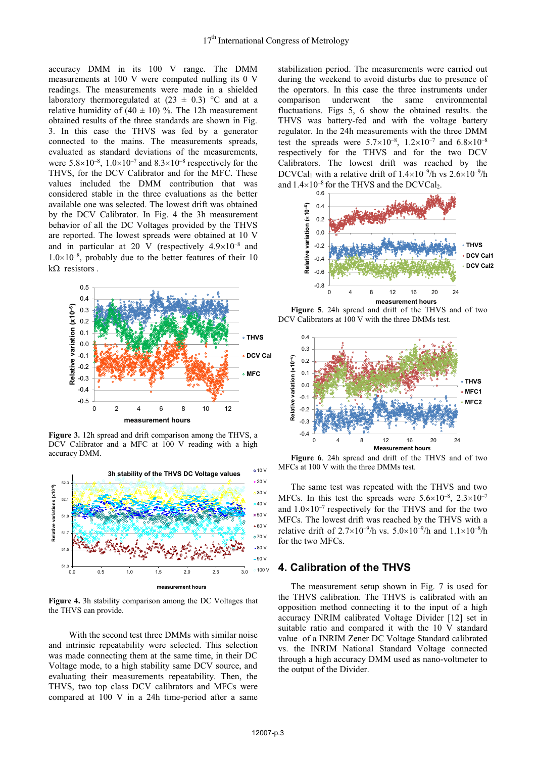accuracy DMM in its 100 V range. The DMM measurements at 100 V were computed nulling its 0 V readings. The measurements were made in a shielded laboratory thermoregulated at  $(23 \pm 0.3)$  °C and at a relative humidity of  $(40 \pm 10)$  %. The 12h measurement obtained results of the three standards are shown in Fig. 3. In this case the THVS was fed by a generator connected to the mains. The measurements spreads, evaluated as standard deviations of the measurements, were  $5.8 \times 10^{-8}$ ,  $1.0 \times 10^{-7}$  and  $8.3 \times 10^{-8}$  respectively for the THVS, for the DCV Calibrator and for the MFC. These values included the DMM contribution that was considered stable in the three evaluations as the better available one was selected. The lowest drift was obtained by the DCV Calibrator. In Fig. 4 the 3h measurement behavior of all the DC Voltages provided by the THVS are reported. The lowest spreads were obtained at 10 V and in particular at 20 V (respectively  $4.9\times10^{-8}$  and  $1.0\times10^{-8}$ , probably due to the better features of their 10  $k\Omega$  resistors.



**Figure 3.** 12h spread and drift comparison among the THVS, a DCV Calibrator and a MFC at 100 V reading with a high accuracy DMM.



**Figure 4.** 3h stability comparison among the DC Voltages that the THVS can provide*.* 

 With the second test three DMMs with similar noise and intrinsic repeatability were selected. This selection was made connecting them at the same time, in their DC Voltage mode, to a high stability same DCV source, and evaluating their measurements repeatability. Then, the THVS, two top class DCV calibrators and MFCs were compared at 100 V in a 24h time-period after a same

stabilization period. The measurements were carried out during the weekend to avoid disturbs due to presence of the operators. In this case the three instruments under comparison underwent the same environmental fluctuations. Figs 5, 6 show the obtained results. the THVS was battery-fed and with the voltage battery regulator. In the 24h measurements with the three DMM test the spreads were  $5.7 \times 10^{-8}$ ,  $1.2 \times 10^{-7}$  and  $6.8 \times 10^{-8}$ respectively for the THVS and for the two DCV Calibrators. The lowest drift was reached by the DCVCal<sub>1</sub> with a relative drift of  $1.4\times10^{-9}$ /h vs  $2.6\times10^{-9}$ /h and  $1.4\times10^{-8}$  for the THVS and the DCVCal<sub>2</sub>.



**Figure 5**. 24h spread and drift of the THVS and of two DCV Calibrators at 100 V with the three DMMs test.



**Figure 6**. 24h spread and drift of the THVS and of two MFCs at 100 V with the three DMMs test.

The same test was repeated with the THVS and two MFCs. In this test the spreads were  $5.6\times10^{-8}$ ,  $2.3\times10^{-7}$ and  $1.0\times10^{-7}$  respectively for the THVS and for the two MFCs. The lowest drift was reached by the THVS with a relative drift of  $2.7 \times 10^{-9}$ /h vs.  $5.0 \times 10^{-9}$ /h and  $1.1 \times 10^{-8}$ /h for the two MFCs.

## **4. Calibration of the THVS**

The measurement setup shown in Fig. 7 is used for the THVS calibration. The THVS is calibrated with an opposition method connecting it to the input of a high accuracy INRIM calibrated Voltage Divider [12] set in suitable ratio and compared it with the 10 V standard value of a INRIM Zener DC Voltage Standard calibrated vs. the INRIM National Standard Voltage connected through a high accuracy DMM used as nano-voltmeter to the output of the Divider.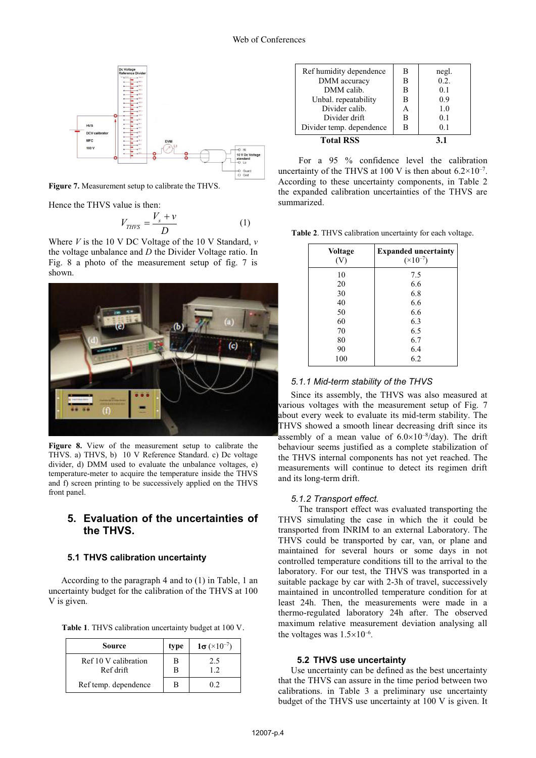

**Figure 7.** Measurement setup to calibrate the THVS.

Hence the THVS value is then:

$$
V_{THVS} = \frac{V_s + v}{D} \tag{1}
$$

Where *V* is the 10 V DC Voltage of the 10 V Standard, *v* the voltage unbalance and *D* the Divider Voltage ratio. In Fig. 8 a photo of the measurement setup of fig. 7 is shown.



**Figure 8.** View of the measurement setup to calibrate the THVS. a) THVS, b) 10 V Reference Standard. c) Dc voltage divider, d) DMM used to evaluate the unbalance voltages, e) temperature-meter to acquire the temperature inside the THVS and f) screen printing to be successively applied on the THVS front panel.

# **5. Evaluation of the uncertainties of the THVS.**

#### **5.1 THVS calibration uncertainty**

According to the paragraph 4 and to (1) in Table, 1 an uncertainty budget for the calibration of the THVS at 100 V is given.

**Table 1**. THVS calibration uncertainty budget at 100 V.

| Source                            | type   | $1\sigma$ (×10 <sup>-7</sup> ) |
|-----------------------------------|--------|--------------------------------|
| Ref 10 V calibration<br>Ref drift | В<br>R | 2.5<br>12                      |
| Ref temp. dependence              | в      | 0.2                            |

| Ref humidity dependence  | в | negl. |
|--------------------------|---|-------|
| DMM accuracy             | B | 0.2.  |
| DMM calib.               | B | 0.1   |
| Unbal. repeatability     | B | 0.9   |
| Divider calib.           | А | 1.0   |
| Divider drift            | В | 0.1   |
| Divider temp. dependence |   | 0.1   |
| <b>Total RSS</b>         |   | 31    |

 For a 95 % confidence level the calibration uncertainty of the THVS at 100 V is then about  $6.2 \times 10^{-7}$ . According to these uncertainty components, in Table 2 the expanded calibration uncertainties of the THVS are summarized.

**Table 2**. THVS calibration uncertainty for each voltage.

| <b>Voltage</b><br>(V) | <b>Expanded uncertainty</b><br>$(\times 10^{-7})$ |
|-----------------------|---------------------------------------------------|
| 10                    | 7.5                                               |
| 20                    | 6.6                                               |
| 30                    | 6.8                                               |
| 40                    | 6.6                                               |
| 50                    | 6.6                                               |
| 60                    | 6.3                                               |
| 70                    | 6.5                                               |
| 80                    | 6.7                                               |
| 90                    | 6.4                                               |
| 100                   | 6.2                                               |

#### *5.1.1 Mid-term stability of the THVS*

Since its assembly, the THVS was also measured at various voltages with the measurement setup of Fig. 7 about every week to evaluate its mid-term stability. The THVS showed a smooth linear decreasing drift since its assembly of a mean value of  $6.0 \times 10^{-8}$ /day). The drift behaviour seems justified as a complete stabilization of the THVS internal components has not yet reached. The measurements will continue to detect its regimen drift and its long-term drift.

#### *5.1.2 Transport effect.*

The transport effect was evaluated transporting the THVS simulating the case in which the it could be transported from INRIM to an external Laboratory. The THVS could be transported by car, van, or plane and maintained for several hours or some days in not controlled temperature conditions till to the arrival to the laboratory. For our test, the THVS was transported in a suitable package by car with 2-3h of travel, successively maintained in uncontrolled temperature condition for at least 24h. Then, the measurements were made in a thermo-regulated laboratory 24h after. The observed maximum relative measurement deviation analysing all the voltages was  $1.5\times10^{-6}$ .

#### **5.2 THVS use uncertainty**

Use uncertainty can be defined as the best uncertainty that the THVS can assure in the time period between two calibrations. in Table 3 a preliminary use uncertainty budget of the THVS use uncertainty at 100 V is given. It